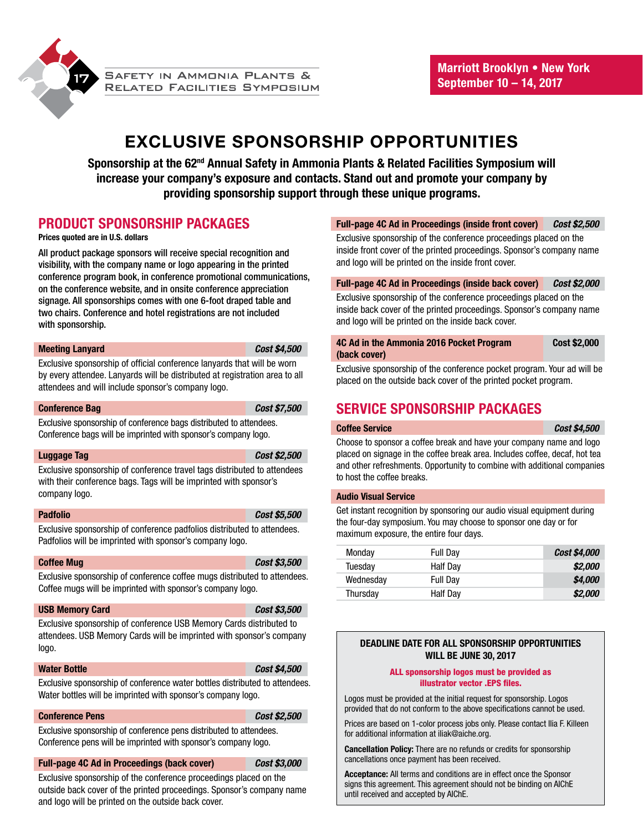

# **EXCLUSIVE SPONSORSHIP OPPORTUNITIES**

**Sponsorship at the 62nd Annual Safety in Ammonia Plants & Related Facilities Symposium will increase your company's exposure and contacts. Stand out and promote your company by providing sponsorship support through these unique programs.**

## **PRODUCT SPONSORSHIP PACKAGES**

### **Prices quoted are in U.S. dollars**

All product package sponsors will receive special recognition and visibility, with the company name or logo appearing in the printed conference program book, in conference promotional communications, on the conference website, and in onsite conference appreciation signage. All sponsorships comes with one 6-foot draped table and two chairs. Conference and hotel registrations are not included with sponsorship.

#### **Meeting Lanyard** *Cost \$4,500*

Exclusive sponsorship of official conference lanyards that will be worn by every attendee. Lanyards will be distributed at registration area to all attendees and will include sponsor's company logo.

#### **Conference Bag** *Cost \$7,500*

Exclusive sponsorship of conference bags distributed to attendees. Conference bags will be imprinted with sponsor's company logo.

#### **Luggage Tag** *Cost \$2,500*

Exclusive sponsorship of conference travel tags distributed to attendees with their conference bags. Tags will be imprinted with sponsor's company logo.

## **Padfolio** *Cost \$5,500*

Exclusive sponsorship of conference padfolios distributed to attendees. Padfolios will be imprinted with sponsor's company logo.

#### **Coffee Mug** *Cost \$3,500*

Exclusive sponsorship of conference coffee mugs distributed to attendees. Coffee mugs will be imprinted with sponsor's company logo.

#### **USB Memory Card** *Cost \$3,500*

Exclusive sponsorship of conference USB Memory Cards distributed to attendees. USB Memory Cards will be imprinted with sponsor's company logo.

#### **Water Bottle** *Cost \$4,500*

Exclusive sponsorship of conference water bottles distributed to attendees. Water bottles will be imprinted with sponsor's company logo.

### **Conference Pens** *Cost \$2,500*

Exclusive sponsorship of conference pens distributed to attendees. Conference pens will be imprinted with sponsor's company logo.

#### **Full-page 4C Ad in Proceedings (back cover)** *Cost \$3,000*

Exclusive sponsorship of the conference proceedings placed on the outside back cover of the printed proceedings. Sponsor's company name and logo will be printed on the outside back cover.

#### **Full-page 4C Ad in Proceedings (inside front cover)** *Cost \$2,500*

Exclusive sponsorship of the conference proceedings placed on the inside front cover of the printed proceedings. Sponsor's company name and logo will be printed on the inside front cover.

### **Full-page 4C Ad in Proceedings (inside back cover)** *Cost \$2,000*

Exclusive sponsorship of the conference proceedings placed on the inside back cover of the printed proceedings. Sponsor's company name and logo will be printed on the inside back cover.

| 4C Ad in the Ammonia 2016 Pocket Program | Cost \$2,000 |
|------------------------------------------|--------------|
| (back cover)                             |              |

Exclusive sponsorship of the conference pocket program. Your ad will be placed on the outside back cover of the printed pocket program.

## **SERVICE SPONSORSHIP PACKAGES**

#### **Coffee Service** *Cost \$4,500*

Choose to sponsor a coffee break and have your company name and logo placed on signage in the coffee break area. Includes coffee, decaf, hot tea and other refreshments. Opportunity to combine with additional companies to host the coffee breaks.

#### **Audio Visual Service**

Get instant recognition by sponsoring our audio visual equipment during the four-day symposium. You may choose to sponsor one day or for maximum exposure, the entire four days.

| Monday    | <b>Full Day</b> | <i>Cost \$4,000</i> |
|-----------|-----------------|---------------------|
| Tuesdav   | Half Day        | \$2,000             |
| Wednesday | <b>Full Day</b> | \$4,000             |
| Thursday  | Half Day        | \$2,000             |

### **DEADLINE DATE FOR ALL SPONSORSHIP OPPORTUNITIES WILL BE JUNE 30, 2017**

#### ALL sponsorship logos must be provided as illustrator vector .EPS files.

Logos must be provided at the initial request for sponsorship. Logos provided that do not conform to the above specifications cannot be used.

Prices are based on 1-color process jobs only. Please contact Ilia F. Killeen for additional information at iliak@aiche.org.

**Cancellation Policy:** There are no refunds or credits for sponsorship cancellations once payment has been received.

**Acceptance:** All terms and conditions are in effect once the Sponsor signs this agreement. This agreement should not be binding on AIChE until received and accepted by AIChE.